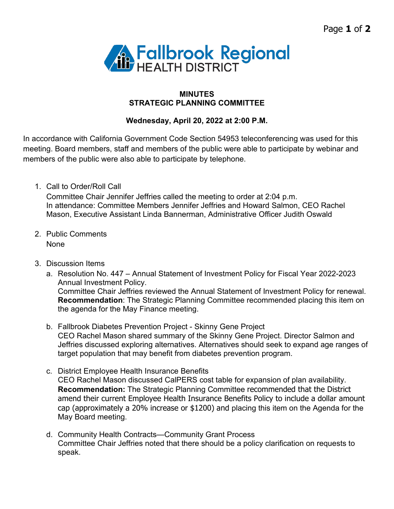

## **MINUTES STRATEGIC PLANNING COMMITTEE**

## **Wednesday, April 20, 2022 at 2:00 P.M.**

In accordance with California Government Code Section 54953 teleconferencing was used for this meeting. Board members, staff and members of the public were able to participate by webinar and members of the public were also able to participate by telephone.

1. Call to Order/Roll Call

Committee Chair Jennifer Jeffries called the meeting to order at 2:04 p.m. In attendance: Committee Members Jennifer Jeffries and Howard Salmon, CEO Rachel Mason, Executive Assistant Linda Bannerman, Administrative Officer Judith Oswald

- 2. Public Comments None
- 3. Discussion Items
	- a. Resolution No. 447 Annual Statement of Investment Policy for Fiscal Year 2022-2023 Annual Investment Policy. Committee Chair Jeffries reviewed the Annual Statement of Investment Policy for renewal. **Recommendation**: The Strategic Planning Committee recommended placing this item on the agenda for the May Finance meeting.
	- b. Fallbrook Diabetes Prevention Project Skinny Gene Project CEO Rachel Mason shared summary of the Skinny Gene Project. Director Salmon and Jeffries discussed exploring alternatives. Alternatives should seek to expand age ranges of target population that may benefit from diabetes prevention program.
	- c. District Employee Health Insurance Benefits CEO Rachel Mason discussed CalPERS cost table for expansion of plan availability. **Recommendation:** The Strategic Planning Committee recommended that the District amend their current Employee Health Insurance Benefits Policy to include a dollar amount cap (approximately a 20% increase or \$1200) and placing this item on the Agenda for the May Board meeting.
	- d. Community Health Contracts—Community Grant Process Committee Chair Jeffries noted that there should be a policy clarification on requests to speak.